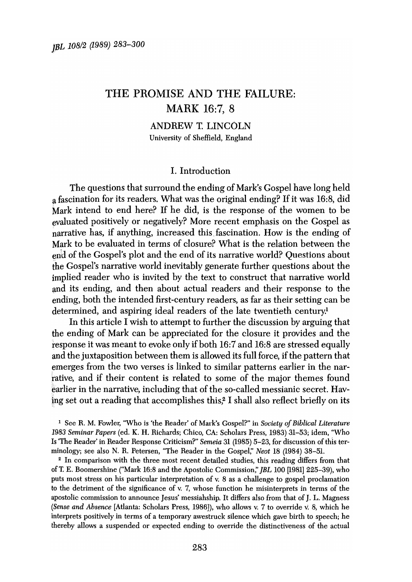# THE PROMISE AND THE FAILURE: MARK 16:7, 8

ANDREW T. LINCOLN University of Sheffield, England

#### I. Introduction

The questions that surround the ending of Mark's Gospel have long held a fascination for its readers. What was the original ending? If it was 16:8, did Mark intend to end here? If he did, is the response of the women to be evaluated positively or negatively? More recent emphasis on the Gospel as narrative has, if anything, increased this fascination. How is the ending of Mark to be evaluated in terms of closure? What is the relation between the en'd of the Gospel's plot and the end of its narrative world? Questions about the Gospel's narrative world inevitably generate further questions about the implied reader who is invited by the text to construct that narrative world and its ending, and then about actual readers and their response to the ending, both the intended first-century readers, as far as their setting can be determined, and aspiring ideal readers of the late twentieth century.<sup>1</sup>

In this article I wish to attempt to further the discussion by arguing that the ending of Mark can be appreciated for the closure it provides and the response it was meant to evoke only if both 16:7 and 16:8 are stressed equally and the juxtaposition between them is allowed its full force, if the pattern that emerges from the two verses is linked to similar patterns earlier in the narrative, and if their content is related to some of the major themes found earlier in the narrative, including that of the so-called messianic secret. Having set out a reading that accomplishes this,<sup>2</sup> I shall also reflect briefly on its

<sup>1</sup>See R. M. Fowler, "Who is 'the Reader' of Mark's Gospel?" in *Society of Biblical Literature 1983 Seminar Papers* (ed. K. H. Richards; Chico, CA: Scholars Press, 1983) 31-53; idem, "Who Is 'The Reader' in Reader Response Criticism?" *Semeia* 31 (1985) 5-23, for discussion of this terminology; see also N. R. Petersen, "The Reader in the Gospel;' *Neat* 18 (1984) 38-51.

<sup>2</sup> In comparison with the three most recent detailed studies, this reading differs from that of T. E. Boomershine ("Mark 16:8 and the Apostolic Commission," *JBL* 100 [1981] 225-39), who puts most stress on his particular interpretation of v. 8 as a challenge to gospel proclamation to the detriment of the Significance of v. 7, whose function he misinterprets in terms of the apostolic commission to announce Jesus' messiahship. It differs also from that of J. L. Magness *(Sense and Absence* [Atlanta: Scholars Press, 1986]), who allows v. 7 to override v. 8, which he interprets positively in terms of a temporary awestruck silence which gave birth to speech; he thereby allows a suspended or expected ending to override the distinctiveness of the actual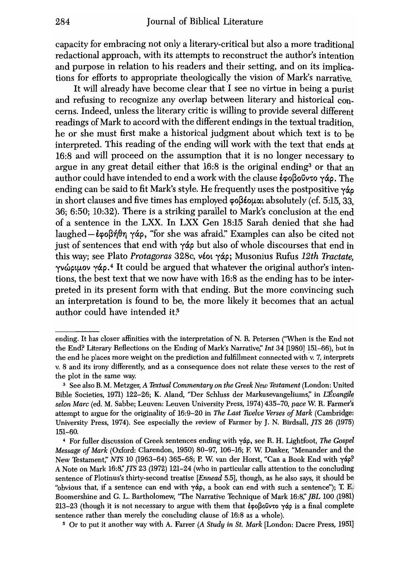capacity for embracing not only a literary-critical but also a more traditional redactional approach, with its attempts to reconstruct the author's intention and purpose in relation to his readers and their setting, and on its implications for efforts to appropriate theologically the vision of Mark's narrative.

It will already have become clear that I see no virtue in being a purist and refusing to recognize any overlap between literary and historical concerns. Indeed, unless the literary critic is willing to provide several different readings of Mark to accord with the different endings in the textual tradition, he or she must first make a historical judgment about which text is to be interpreted. This reading of the ending will work with the text that ends at 16:8 and will proceed on the assumption that it is no longer necessary to argue in any great detail either that 16:8 is the original ending3 or that an author could have intended to end a work with the clause  $\epsilon \infty$  $\delta \sigma \in V$ ending can be said to fit Mark's style. He frequently uses the postpositive  $\gamma \dot{\alpha}$ in short clauses and five times has employed  $\varphi$ oß *iolusa*, absolutely (cf. 5:15, 33, 36; 6:50; 10:32). There is a striking parallel to Mark's conclusion at the end of a sentence in the LXX. In LXX Cen 18:15 Sarah denied that she had laughed- $\epsilon \varphi_0 \beta \eta \theta \eta \gamma \dot{\alpha} \rho$ , "for she was afraid." Examples can also be cited not just of sentences that end with  $\gamma$  o but also of whole discourses that end in this way; see Plato *Protagoras* 328c, νέοι γάρ; Musonius Rufus *12th Tractate*,  $\gamma\nu\omega\rho\mu\omega\rho\chi\phi$ ,<sup>4</sup> It could be argued that whatever the original author's intentions, the best text that we now have with 16:8 as the ending has to be interpreted in its present form with that ending. But the more convincing such an interpretation is found to be, the more likely it becomes that an actual author could have intended it.<sup>5</sup>

ending. It has closer affinities with the interpretation of N. R. Petersen ("When is the End not the End? Literary Reflections on the Ending of Mark's Narrative," *Int* 34 [1980] 151-66), but in the end he places more weight on the prediction and fulfillment connected with v. 7, interprets v. 8 and its irony differently, and as a consequence does not relate these verses to the rest of the plot in the same way.

<sup>&</sup>lt;sup>3</sup> See also B. M. Metzger, *A Textual Commentary on the Greek New Testament (London: United* Bible Societies, 1971) 122-26; K. Aland, "Der Schluss der Markusevangeliums;' in *L'Evangile selon Marc* (ed. M. Sabbe; Leuven: Leuven University Press, 1974) 435-70, *pace* W. R. Farmer's attempt to argue for the originality of 16:9-20 in *The Last Twelve Verses of Mark* (Cambridge: University Press, 1974). See especially the review of Farmer by J. N. BirdsaII, *ITS* 26 (1975) 151-60.

<sup>&</sup>lt;sup>4</sup> For fuller discussion of Greek sentences ending with γάρ, see R. H. Lightfoot, *The Gospel Message of Mark* (Oxford: Clarendon, 1950) 80-97, 106-16; F. W. Danker, "Menander and the New Testament," *NTS* 10 (1963–64) 365–68; P. W. van der Horst, "Can a Book End with γάρ<sup>ρ</sup> A Note on Mark 16:8;' *ITS* 23 (1972) 121-24 (who in particular calls attention to the concluding sentence of Plotinus's 'thirty-second treatise *[Ennead* 5.5], though, as he also says, it should be "obvious that, if a sentence can end with  $\gamma \dot{\alpha}$ , a book can end with such a sentence"); T. E. Boomershine and G. L. Bartholomew, "The Narrative Technique of Mark 16:8;' *IBL* 100 (1981) 213-23 (though it is not necessary to argue with them that  $\epsilon \in \mathbb{R}^2$  of  $\epsilon$  is a final complete sentence rather than merely the concluding clause of 16:8 as a whole).

<sup>5</sup> Or to put it another way with A. Farrer *(A Study in St. Mark* [London: Dacre Press, 1951J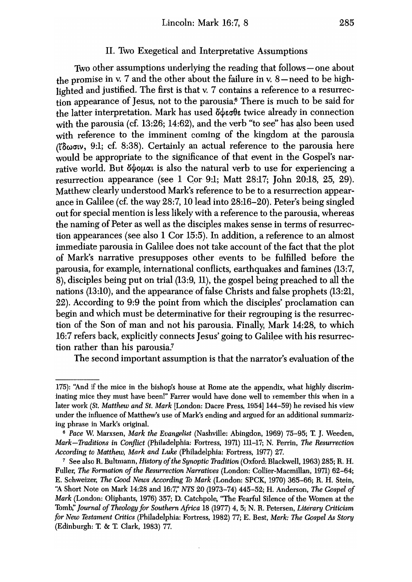#### II. Two Exegetical and Interpretative Assumptions

Two other assumptions underlying the reading that follows – one about the promise in v. 7 and the other about the failure in v. 8 - need to be highlighted and justified. The first is that v. 7 contains a reference to a resurrection appearance of Jesus, not to the parousia.6 There is much to be said for the latter interpretation. Mark has used  $\delta \phi$  twice already in connection with the parousia (cf. 13:26; 14:62), and the verb "to see" has also been used with reference to the imminent coming of the kingdom at the parousia  $\ell_1$   $\delta$   $\omega$ <sub>g</sub>  $\omega$ , 9:1; cf. 8:38). Certainly an actual reference to the parousia here would be appropriate to the significance of that event in the Gospel's narrative world. But  $\delta\psi$ ouxi is also the natural verb to use for experiencing a resurrection appearance (see 1 Cor 9:1; Matt 28:17; John 20:18, 25, 29). Matthew clearly understood Mark's reference to be to a resurrection appearance in Galilee (cf. the way 28:7,10 lead into 28:16-20). Peter's being singled out for special mention is less likely with a reference to the parousia, whereas the naming of Peter as well as the disciples makes sense in terms of resurrection appearances (see also 1 Cor 15:5). In addition, a reference to an almost immediate parousia in Galilee does not take account of the fact that the plot of Mark's narrative presupposes other events to be fulfilled before the parousia, for example, international conflicts, earthquakes and famines (13:7, 8), disciples being put on trial (13:9, 11), the gospel being preached to all the nations (13:10), and the appearance of false Christs and false prophets (13:21, 22). According to 9:9 the point from which the disciples' proclamation can begin and which must be determinative for their regrouping is the resurrection of the Son of man and not his parousia. Finally, Mark 14:28, to which 16:7 refers back, explicitly connects Jesus' going to Galilee with his resurrection rather than his parousia.<sup>7</sup>

The second important assumption is that the narrator's evaluation of the

<sup>175): &</sup>quot;And if the mice in the bishop's house at Rome ate the appendix, what highly discriminating mice they must have been!" Farrer would have done well to remember this when in a later work *(St. Matthew and St. Mark* [London: Dacre Press, 1954]144-59) he revised his view under the influence of Matthew's use of Mark's ending and argued for an additional summarizing phrase in Mark's original.

*<sup>6</sup> Pace* W. Marxsen, *Mark the Evangelist* (Nashville: Abingdon, 1969) 75-95; T. J. Weeden, *Mark-Traditions in Conflict* (Philadelphia: Fortress, 1971) 111-17; N. Perrin, *The Resurrection According to Matthew, Mark and Luke* (Philadelphia: Fortress, 1977) 27.

<sup>7</sup> See also R. Buitmann, *History of the Synoptic 1radition* (Oxford: Blackwell, 1963) 285; R. H. Fuller, *The Formation of the Resurrection Narratives* (London: Collier-Macmillan, 1971) 62-64; E. Schweizer, *The Good News According To Mark* (London: SPCK, 1970) 365-66; R. H. Stein, "A Short Note on Mark 14:28 and 16:7," *NTS 20 (1973-74) 445-52; H. Anderson, The Gospel of Mark* (London: Oliphants, 1976) 357; D. Catchpole, "The Fearful Silence of the Women at the Tomb;' *Journal of Theology for Southern Africa* 18 (1977) 4, 5; N. R. Petersen, *Literary Criticism for New Testament Critics* (Philadelphia: Fortress, 1982) 77; E. Best, *Mark: The Gospel* As *Story*  (Edinburgh: T. & T. Clark, 1983) 77.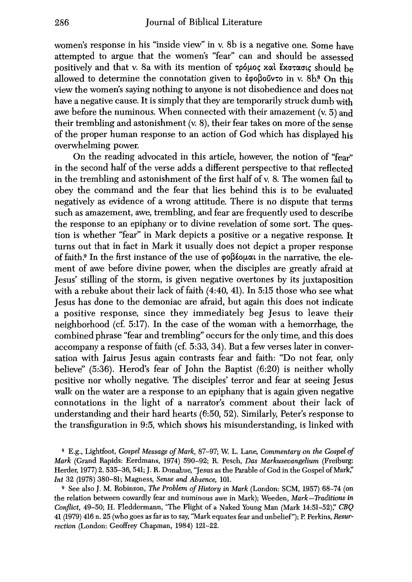women's response in his "inside view" in v. 8b is a negative one. Some have attempted to argue that the women's "fear" can and should be assessed positively and that v. 8a with its mention of  $\tau\rho\acute{o}\mu$ ος χαὶ ἔχστασις should be allowed to determine the connotation given to  $\epsilon \varphi$  $\varphi$  $\varphi$  $\varphi$ <sup>3</sup>ou this view the women's saying nothing to anyone is not disobedience and does not have a negative cause. It is simply that they are temporarily struck dumb with awe before the numinous. When connected with their amazement (v. 5) and their trembling and astonishment  $(v, 8)$ , their fear takes on more of the sense of the proper human response to an action of God which has displayed his overwhelming power.

On the reading advocated in this article, however, the notion of "fear" in the second half of the verse adds a different perspective to that reflected in the trembling and astonishment of the first half of v. B. The women fail to obey the command and the fear that lies behind this is to be evaluated negatively as evidence of a wrong attitude. There is no dispute that terms such as amazement, awe, trembling, and fear are frequently used to describe the response to an epiphany or to divine revelation of some sort. The question is whether "fear" in Mark depicts a positive or a negative response. It turns out that in fact in Mark it usually does not depict a proper response of faith.<sup>9</sup> In the first instance of the use of  $\varphi$  $\beta$ *i* $\varphi$  $\alpha$ *l* in the narrative, the element of awe before divine power, when the disciples are greatly afraid at Jesus' stilling of the storm, is given negative overtones by its juxtaposition with a rebuke about their lack of faith (4:40,41). In 5:15 those who see what Jesus has done to the demoniac are afraid, but again this does not indicate a positive response, since they immediately beg Jesus to leave their neighborhood (cf. 5:17). In the case of the woman with a hemorrhage, the combined phrase "fear and trembling" occurs for the only time, and this does accompany a response of faith (cf. 5:33, 34). But a few verses later in conversation with Jairus Jesus again contrasts fear and faith: "Do not fear, only believe" (5:36). Herod's fear of John the Baptist (6:20) is neither wholly positive nor wholly negative. The disciples' terror and fear at seeing Jesus walk on the water are a response to an epiphany that is again given negative connotations in the light of a narrator's comment about their lack of understanding and their hard hearts (6:50, 52). Similarly, Peter's response to the transfiguration in 9:5, which shows his misunderstanding, is linked with

8 E.g., Lightfoot, *Gospel Message of Mark,* 87-97; W. L. Lane, *Commentary on the Gospel of Mark* (Grand Rapids: Eerdmans, 1974) 590-92; R. Pesch, *Das Markusevangelium* (Freiburg: Herder, 1977) 2. 535-36, 541; J. R. Donahue, "Jesus as the Parable of God in the Gospel of Mark," *Int* 32 (1978) 380-81; Magness, *Sense and Absence, 101.* 

9 See also J. M. Robinson, *The Problem of History in Mark* (London: SCM, 1957) 68-74 (on the relation between cowardly fear and numinous awe in Mark); Weeden, *Mark-Traditions in Conflict,* 49-50; H. Fleddermann, "The Flight of a Naked Young Man (Mark 14:51-52);' *CBQ*  41 (1979) 416 n. 25 (who goes as far as to say, "Mark equates fear and unbelief"); P. Perkins, *Resurrection* (London: Geoffrey Chapman, 1984) 121-22.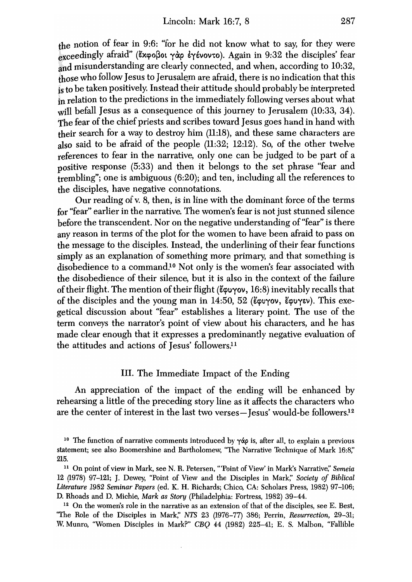the notion of fear in 9:6: "for he did not know what to say, for they were exceedingly afraid" (ἔχφοβοι γὰρ ἐγένοντο). Again in 9:32 the disciples' fear and misunderstanding are clearly connected, and when, according to 10:32, those who follow Jesus to Jerusalem are afraid, there is no indication that this is to be taken positively. Instead their attitude should probably be interpreted in relation to the predictions in the immediately following verses about what will befall Jesus as a consequence of this journey to Jerusalem (10:33, 34). The fear of the chief priests and scribes toward Jesus goes hand in hand with their search for a way to destroy him  $(11.18)$ , and these same characters are also said to be afraid of the people  $(11:32; 12:12)$ . So, of the other twelve references to fear in the narrative, only one can be judged to be part of a positive response (5:33) and then it belongs to the set phrase "fear and trembling"; one is ambiguous (6:20); and ten, including all the references to the disciples, have negative connotations.

Our reading of v. 8, then, is in line with the dominant force of the terms for "fear" earlier in the narrative. The women's fear is not just stunned silence before the transcendent. Nor on the negative understanding of "fear" is there any reason in terms of the plot for the women to have been afraid to pass on the message to the disciples. Instead, the underlining of their fear functions simply as an explanation of something more primary, and that something is disobedience to a command.<sup>10</sup> Not only is the women's fear associated with the disobedience of their silence, but it is also in the context of the failure of their flight. The mention of their flight ( $\ell$   $\omega$   $\gamma$   $\omega$ , 16:8) inevitably recalls that of the disciples and the young man in 14:50, 52 ( $\ell$   $\ell$   $\ell$   $\ell$   $\ell$   $\nu$   $\nu$ ). This exegetical discussion about "fear" establishes a literary point. The use of the term conveys the narrator's point of view about his characters, and he has made clear enough that it expresses a predominantly negative evaluation of the attitudes and actions of Jesus' followers.<sup>11</sup>

## **Ill.** The Immediate Impact of the Ending

An appreciation of the impact of the ending will be enhanced by rehearsing a little of the preceding story line as it affects the characters who are the center of interest in the last two verses - Jesus' would-be followers.<sup>12</sup>

<sup>&</sup>lt;sup>10</sup> The function of narrative comments introduced by  $\gamma \dot{\alpha} \rho$  is, after all, to explain a previous statement; see also Boomershine and Bartholomew, "The Narrative Technique of Mark 16:8;' 215.

<sup>11</sup> On point of view in Mark, see N. R. Petersen, '''Point of View' in Mark's Narrative;' *Semeia*  12 (1978) 97-121; J. Dewey, "Point of View and the Disciples in Mark;' *Society of Biblical Literature* 1982 *Seminar Papers* (ed. K. H. Richards; Chico, CA: Scholars Press, 1982) 97-106; D. Rhoads and D. Michie, *Mark as Story* (Philadelphia: Fortress, 1982) 39-44.

 $12$  On the women's role in the narrative as an extension of that of the disciples, see E. Best, "The Role of the Disciples in Mark;' *NTS* 23 (1976-77) 386; Perrin, *Resurrection, 29-31;*  W. Munro, "Women Disciples in Mark?" *CBQ* 44 (1982) 225-41; E. S. Malbon, "Fallible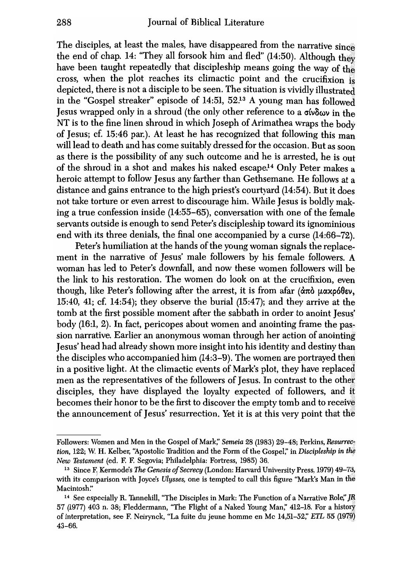The disciples, at least the males, have disappeared from the narrative since the end of chap. 14: "They all forsook him and fled" (14:50). Although they have been taught repeatedly that discipleship means going the way of the cross, when the plot reaches its climactic point and the crucifixion is depicted, there is not a disciple to be seen. The situation is vividly illustrated in the "Gospel streaker" episode of 14:51, 52.13 A young man has followed Jesus wrapped only in a shroud (the only other reference to a *a(v8wv* in the NT is to the fine linen shroud in which Joseph of Arimathea wraps the body of Jesus; cf. 15:46 par.). At least he has recognized that following this man will lead to death and has come suitably dressed for the occasion. But as soon as there is the possibility of any such outcome and he is arrested, he is out of the shroud' in a shot and makes his naked escape.14 Only Peter makes a heroic attempt to follow Jesus any farther than Gethsemane. He follows at a distance and gains entrance to the high priest's courtyard (14:54). But it does not take torture or even arrest to discourage him. While Jesus is boldly making a true confession inside (14:55-65), conversation with one of the female servants outside is enough to send Peter's discipleship toward its ignominious end with its three denials, the final one accompanied by a curse (14:66-72).

Peter's humiliation at the hands of the young woman signals the replacement in the narrative of Jesus' male followers by his female followers. A woman has led to Peter's downfall, and now these women followers will be the link to his restoration. The women do look on at the crucifixion, even though, like Peter's following after the arrest, it is from afar  $(\alpha \pi \delta \mu \alpha x)$ 15:40, 41; cf. 14:54); they observe the burial (15:47); and they arrive at the tomb at the first possible moment after the sabbath in order to anoint Jesus' body (16:1, 2). In fact, pericopes about women and anointing frame the passion narrative. Earlier an anonymous woman through her action of anointing Jesus' head had already shown more insight into his identity and destiny than the disciples who accompanied him (14:3-9). The women are portrayed then in a positive light. At the climactic events of Mark's plot, they have replaced men as the representatives of the followers of Jesus. In contrast to the other disciples, they have displayed the loyalty expected of followers, and it becomes their honor to be the first to discover the empty tomb and to receive the announcement of Jesus' resurrection. Yet it is at this very point that the

Followers: Women and Men in the Gospel of Mark;' *Semeia* 28 (1983) 29-48; Perkins, *Resurrection,* 122; W. H. Kelber, "Apostolic Tradition and the Form of the Gospel;' in *Discipleship in the New Testament* (ed. F. F. Segovia; Philadelphia: Fortress, 1985) 36.

<sup>13</sup> Since F. Kermode's *The Genesis of Secrecy (London: Harvard University Press, 1979) 49-73*, with its comparison with Joyce's *Ulysses,* one is tempted to call this figure "Mark's Man in the Macintosh:'

<sup>&</sup>lt;sup>14</sup> See especially R. Tannehill, "The Disciples in Mark: The Function of a Narrative Role,"  $jR$ 57 (1977) 403 n. 38; Fleddermann, "The Flight of a Naked Young Man;' 412-18. For a history of interpretation, see F. Neirynck, "La fuite du jeune homme en Mc 14,51-52;' *ETL* 55 (1979) 43-66.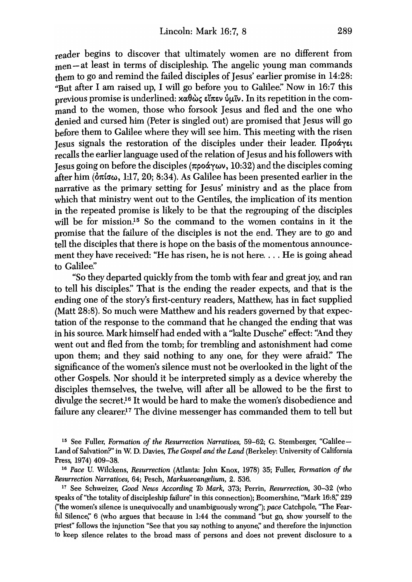reader begins to discover that ultimately women are no different from men - at least in terms of discipleship. The angelic young man commands them to go and remind the failed disciples of Jesus' earlier promise in 14:28: "But after I am raised up, I will go before you to Galilee:' Now in 16:7 this previous promise is underlined: xαθὼς εἴπεν ὑμῖν. In its repetition in the command to the women, those who forsook Jesus and fled and the one who denied and cursed him (Peter is singled out) are promised that Jesus will go before them to Galilee where they will see him. This meeting with the risen Lesus signals the restoration of the disciples under their leader.  $\Pi$ poá $\gamma$ <sub>Et</sub>  $r_{\text{ecalls}}$  the earlier language used of the relation of Jesus and his followers with Jesus going on before the disciples ( $\pi \rho$  $\alpha \gamma \omega$ , 10:32) and the disciples coming after him  $\langle \delta \pi \mathfrak{so}, 1:17, 20; 8:34 \rangle$ . As Galilee has been presented earlier in the narrative as the primary setting for Jesus' ministry and as the place from which that ministry went out to the Gentiles, the implication of its mention in the repeated promise is likely to be that the regrouping of the disciples will be for mission.<sup>15</sup> So the command to the women contains in it the promise that the failure of the disciples is not the end. They are to go and tell the disciples that there is hope on the basis of the momentous announcement they have received: "He has risen, he is not here .... He is going ahead to Galilee."

"So they departed quickly from the tomb with fear and great joy, and ran to tell his disciples:' That is the ending the reader expects, and that is the ending one of the story's first-century readers, Matthew, has in fact supplied (Matt 28:8). So much were Matthew and his readers governed by that expectation of the response to the command that he changed the ending that was in his source. Mark himself had ended with a "kalte Dusche" effect: "And they went out and fled from the tomb; for trembling and astonishment had come upon them; and they said nothing to any one, for they were afraid." The significance of the women's silence must not be overlooked in the light of the other Gospels. Nor should it be interpreted simply as a device whereby the disciples themselves, the twelve, will after all be allowed to be the first to divulge the secret.<sup>16</sup> It would be hard to make the women's disobedience and failure any clearer.<sup>17</sup> The divine messenger has commanded them to tell but

17 See Schweizer, *Good News According To Mark,* 373; Perrin, *Resurrection,* 30-32 (who speaks of "the totality of discipleship failure" in this connection); Boomershine, "Mark 16:8," 229 ("the women's silence is unequivocally and unambiguously wrong"); *pace* Catchpole, "The Fearful Silence;' 6 (who argues that because in 1:44 the command "but go, show yourself to the priest" follows the injunction "See that you say nothing to anyone;' and therefore the injunction to keep silence relates to the broad mass of persons and does not prevent disclosure to a

<sup>15</sup> See Fuller, *Formation of the Resurrection Narratives,* 59-62; G. Stemberger, "Galilee-Land of Salvation?" in W. D. Davies, *The Gospel and the Land* (Berkeley: University of California Press, 1974) 409-38.

*<sup>16</sup> Pace* U. Wilckens, *Resurrection* (Atlanta: John Knox, 1978) 35; Fuller, *Formation of the Resurrection Narratives,* 64; Pesch, *Markusevangelium,* 2. 536.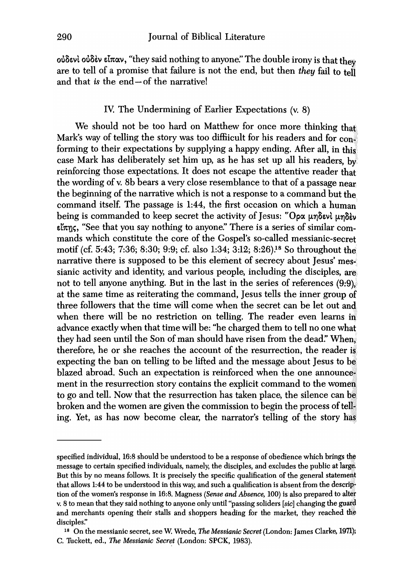ousoviation of  $\delta$  oughts if  $\alpha$ , "they said nothing to anyone." The double irony is that they are to tell of a promise that failure is not the end, but then *they* fail to tell and that *is* the end-of the narrative!

### IV, The Undermining of Earlier Expectations (v. 8)

We should not be too hard on Matthew for once more thinking that Mark's way of telling the story was too diffiicult for his readers and for conforming to their expectations by supplying a happy ending. *Mter* all, in this case Mark has deliberately set him up, as he has set up all his readers, by reinforcing those expectations. It does not escape the attentive reader that the wording of v. 8b bears a very close resemblance to that of a passage near the beginning of the narrative which is not a response to a command but the command itself. The passage is 1:44, the first occasion on which a human being is commanded to keep secret the activity of Jesus:  $\partial \rho \alpha$  under  $\alpha$  $\epsilon\llbracket\pi\eta\zeta$ , "See that you say nothing to anyone." There is a series of similar commands which constitute the core of the Gospel's so-called messianic-secret motif (cf. 5:43; 7:36; 8:30; 9:9; cf. also 1:34; 3:12; 8:26).18 So throughout the narrative there is supposed to be this element of secrecy about Jesus' messianic activity and identity, and various people, including the disciples, are not to tell anyone anything. But in the last in the series of references (9:9), at the same time as reiterating the command, Jesus tells the inner group of three followers that the time will come when the secret can be let out and when there will be no restriction on telling. The reader even learns in advance exactly when that time will be: "he charged them to tell no one what they had seen until the Son of man should have risen from the dead." When, therefore, he or she reaches the account of the resurrection, the reader is expecting the ban on telling to be lifted and the message about Jesus to be blazed abroad. Such an expectation is reinforced when the one announcement in the resurrection story contains the explicit command to the women to go and tell. Now that the resurrection has taken place, the silence can be broken and the women are given the commission to begin the process of telling. Yet, as has now become clear, the narrator's telling of the story has

specified individual, 16:8 should be understood to be a response of obedience which brings the message to certain specified individuals, namely, the disciples, and excludes the public at large. But this by no means follows. It is precisely the specific qualification of the general statement that allows  $1:44$  to be understood in this way, and such a qualification is absent from the description of the women's response in 16:8. Magness *(Sense and Absence,* 100) is also prepared to alter v. 8 to mean that they said nothing to anyone only until "passing soliders [sic] changing the guard and merchants opening their stalls and shoppers heading for the market, they reached the disciples."

<sup>&</sup>lt;sup>18</sup> On the messianic secret, see W. Wrede, *The Messianic Secret* (London: James Clarke, 1971); C. Tuckett, ed., *The Messianic Secret* (London: SPCK, 1983).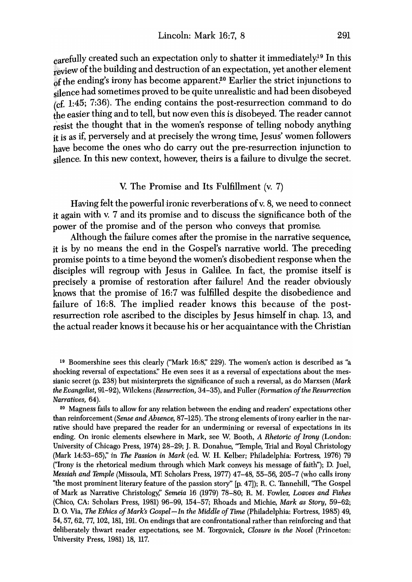carefully created such an expectation only to shatter it immediately.19 In this review of the building and destruction of an expectation, yet another element  $\mathbb{S}_{\mathbf{f}}$  the ending's irony has become apparent.<sup>20</sup> Earlier the strict injunctions to  $\overline{\text{silence}}$  had sometimes proved to be quite unrealistic and had been disobeyed  $\overline{c}$  (cf. 1:45; 7:36). The ending contains the post-resurrection command to do the easier thing and to tell, but now even this is disobeyed. The reader cannot resist the thought that in the women's response of telling nobody anything it is as if, perversely and at precisely the wrong time, Jesus' women followers have become the ones who do carry out the pre-resurrection injunction to silence. In this new context, however, theirs is a failure to divulge the secret.

#### V. The Promise and Its Fulfillment (v. 7)

Having felt the powerful ironic reverberations of v. 8, we need to connect it again with v. 7 and its promise and to discuss the significance both of the power of the promise and of the person who conveys that promise.

Although the failure comes after the promise in the narrative sequence, it is by no means the end in the Gospel's narrative world. The preceding promise points to a time beyond the women's disobedient response when the disciples will regroup with Jesus in Galilee. In fact, the promise itself is precisely a promise of restoration after failurel And the reader obviously knows that the promise of 16:7 was fulfilled despite the disobedience and failure of 16:8. The implied reader knows this because of the postresurrection role ascribed to the disciples by Jesus himself in chap. 13, and the actual reader knows it because his or her acquaintance with the Christian

20 Magness fails to allow for any relation between the ending and readers' expectations other than reinforcement *(Sense and Absence,* 87-125). The strong elements of irony earlier in the narrative should have prepared the reader for an undermining or reversal of expectations in its ending. On ironic elements elsewhere in Mark, *see* W. Booth, *A Rhetoric of Irony* (London: University of Chicago Press, 1974) 28-29; J. R. Donahue, "Temple, Trial and Royal Christology (Mark 14:53-65);' in *The Passion in Mark* (ed. W. H. Kelber; Philadelphia: Fortress, 1976) 79 ("Irony is the rhetorical medium through which Mark conveys his message of faith"); D. Juel, *Messiah and 1emple* (Missoula, MT: Scholars Press, 1977) 47-48, 55-56, 205-7 (who calls irony "the most prominent literary feature of the passion story"  $[p, 47]$ ; R. C. Tannehill, "The Gospel" of Mark as Narrative Christology;' *Semeia* 16 (1979) 78-80; R. M. Fowler, *Loaves and Fishes*  (Chico, CA: Scholars Press, 1981) 96-99, 154-57; Rhoads and Michie, *Mark as Story, 59-62;*  D. O. Via, *The Ethics of Mark's Gospel-In the Middle of Time* (Philadelphia: Fortress, 1985) 49, 54, 57, 62, 77, 102, 181, 191. On endings that are confrontational rather than reinforcing and that deliberately thwart reader expectations, see M. Torgovnick, *Closure in the Novel* (Princeton: University Press, 1981) 18, 117.

<sup>19</sup> Boomershine sees this clearly ("Mark 16:8;' 229). The women's action is described as "a shocking reversal of expectations:' He even sees it as a reversal of expectations about the messianic secret (p. 238) but misinterprets the Significance of such a reversal, as do Marxsen *(Mark the Evangelist,* 91-92), Wilckens *(Resurrection,* 34-35), and Fuller *(Fonnation of the Resurrection Narratives, 64).*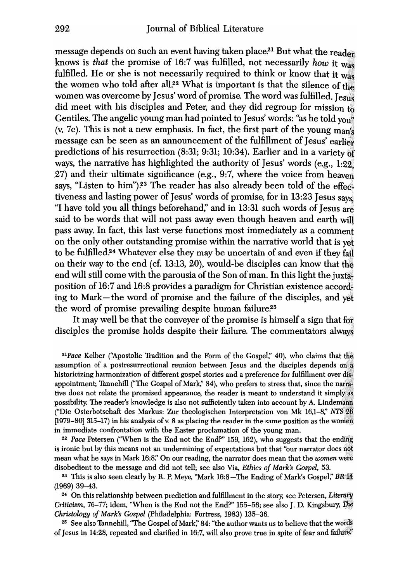message depends on such an event having taken place.<sup>21</sup> But what the reader knows is *that* the promise of 16:7 was fulfilled, not necessarily *how* it was fulfilled. He or she is not necessarily required to think or know that it was the women who told after all.<sup>22</sup> What is important is that the silence of the women was overcome by Jesus' word of promise. The word was fulfilled. Jesus did meet with his disciples and Peter, and they did regroup for mission to Gentiles. The angelic young man had pointed to Jesus' words: "as he told you" (v. 7c). This is not a new emphasis. In fact, the first part of the young man's message can be seen as an announcement of the fulfillment of Jesus' earlier predictions of his resurrection (8:31; 9:31; 10:34). Earlier and in a variety of ways, the narrative has highlighted the authority of Jesus' words (e.g.,  $1.22$ ) 27) and their ultimate significance (e.g., 9:7, where the voice from heaven says, "Listen to him").<sup>23</sup> The reader has also already been told of the effectiveness and lasting power of Jesus' words of promise, for in 13:23 Jesus says, "I have told you all things beforehand;' and in 13:31 such words of Jesus are said to be words that will not pass away even though heaven and earth will pass away. In fact, this last verse functions most immediately as a comment on the only other outstanding promise within the narrative world that is yet to be fulfilled.24 Whatever else they may be uncertain of and even if they fail on their way to the end (cf. 13:13,20), would-be disciples can know that the end will still come with the parousia of the Son of man. In this light the juxtaposition of 16:7 and 16:8 provides a paradigm for Christian existence according to Mark-the word of promise and the failure of the disciples, and yet the word of promise prevailing despite human failure.<sup>25</sup>

It may well be that the conveyer of the promise is himself a sign that for disciples the promise holds despite their failure. The commentators always

 $21Pace$  Kelber ("Apostolic Tradition and the Form of the Gospel," 40), who claims that the assumption of a postresurrectional reunion between Jesus and the disciples depends on a historicizing harmonization of different gospel stories and a preference for fulfillment over dis· appointment; Tannehill ("The Gospel of Mark," 84), who prefers to stress that, since the narrative does not relate the promised appearance, the reader is meant to understand it simply as possibility. The reader's knowledge is also not sufficiently taken into account by A. Lindemann ("Die Osterbotschaft des Markus: Zur theologischen Interpretation von Mk 16,1-8:' *NTS 26*  [1979-80] 315-17) in his analysis of v. 8 as placing the reader in the same position as the WOmen in immediate confrontation with the Easter proclamation of the young man.

<sup>22</sup> Pace Petersen ("When is the End not the End?" 159, 162), who suggests that the ending is ironic but by this means not an undermining of expectations but that "our narrator does not mean what he says in Mark 16:8:' On our reading, the narrator does mean that the *women* were disobedient to the message and did not tell; see also Via, *Ethics of Mark's Gospel, 53.* 

<sup>23</sup> This is also seen clearly by R. P. Meye, "Mark  $16:8$ -The Ending of Mark's Gospel,"  $BR \& 14$ (1969) 39-43.

24 On this relationship between prediction and fulfillment in the story, see Petersen, *Literary Criticism,* 76-77; idem, "When is the End not the End?" 155-56; see also J. D. Kingsbury, *The Christology of Marks Gospel* (Philadelphia: Fortress, 1983) 135-36.

<sup>25</sup> See also Tannehill, "The Gospel of Mark," 84: "the author wants us to believe that the words of Jesus in 14:28, repeated and clarified in 16:7, will also prove true in spite of fear and failure:'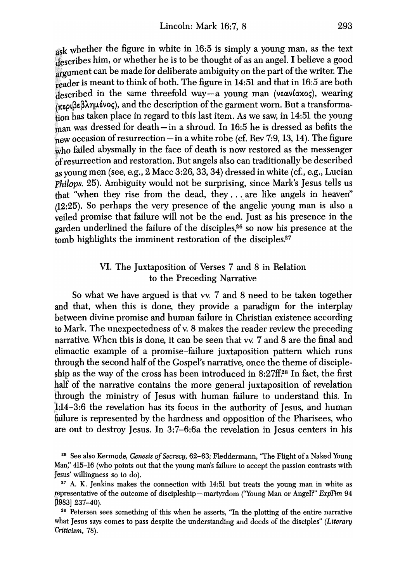ask whether the figure in white in 16:5 is simply a young man, as the text describes him, or whether he is to be thought of as an angel. I believe a good argument can be made for deliberate ambiguity on the part of the writer. The  $\epsilon_{\text{reader}}$  is meant to think of both. The figure in 14:51 and that in 16:5 are both described in the same threefold way-a young man ( $\sqrt{v}$  ( $\sqrt{v}$ ), wearing  $\ell_{\text{step}}$ βεβλημένος), and the description of the garment worn. But a transformation has taken place in regard to this last item. As we saw, in 14:51 the young  $_{\text{man}}$  was dressed for death - in a shroud. In 16:5 he is dressed as befits the  $n_{\text{new}}$  occasion of resurrection - in a white robe (cf. Rev 7:9, 13, 14). The figure who failed abysmally in the face of death is now restored as the messenger of resurrection and restoration. But angels also can traditionally be described as young men (see, e.g., 2 Macc 3:26,33,34) dressed in white (cf., e.g., Lucian *Philops.* 25). Ambiguity would not be surprising, since Mark's Jesus tells us that "when they rise from the dead, they ... are like angels in heaven" (12:25). So perhaps the very presence of the angelic young man is also a veiled promise that failure will not be the end. Just as his presence in the garden underlined the failure of the disciples,26 so now his presence at the tomb highlights the imminent restoration of the disciples.<sup>27</sup>

## VI. The Juxtaposition of Verses 7 and 8 in Relation to the Preceding Narrative

So what we have argued is that vv. 7 and 8 need to be taken together and that, when this is done, they provide a paradigm for the interplay between divine promise and human failure in Christian existence according to Mark. The unexpectedness of v. 8 makes the reader review the preceding narrative. When this is done, it can be seen that vv. 7 and 8 are the final and climactic example of a promise-failure juxtaposition pattern which runs through the second half of the Gospel's narrative, once the theme of discipleship as the way of the cross has been introduced in 8:27ff.28 In fact, the first half of the narrative contains the more general juxtaposition of revelation through the ministry of Jesus with human failure to understand this. In 1:14-3:6 the revelation has its focus in the authority of Jesus, and human failure is represented by the hardness and opposition of the Pharisees, who are out to destroy Jesus. In 3:7-6:6a the revelation in Jesus centers in his

26 See also Kermode, *Genesis of Secrecy,* 62-63; Fleddermann, "The Flight of a Naked Young Man;' 415-16 (who points out that the young man's failure to accept the passion contrasts with Jesus' willingness so to do).

 $27$  A. K. Jenkins makes the connection with 14:51 but treats the young man in white as representative of the outcome of discipleship-martyrdom ("Young Man or Angel?" ExpTim 94 [1983] 237-40).

<sup>28</sup> Petersen sees something of this when he asserts, "In the plotting of the entire narrative what Jesus says comes to pass despite the understanding and deeds of the disciples" *(Literary Criticism, 78).*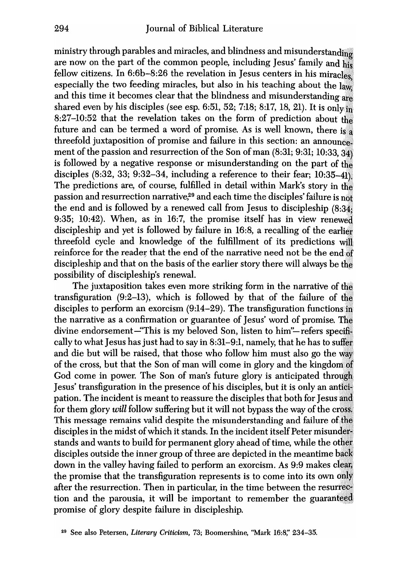ministry through parables and miracles, and blindness and misunderstanding are now on the part of the common people, including Jesus' family and his fellow citizens. In 6:6b-8:26 the revelation in Jesus centers in his miracles especially the two feeding miracles, but also in his teaching about the law, and this time it becomes clear that the blindness and misunderstanding are shared even by his disciples (see esp. 6:51, 52; 7:18; 8:17, 18, 21). It is only in 8:27-10:52 that the revelation takes on the form of prediction about the future and can be termed a word of promise. As is well known, there is a threefold juxtaposition of promise and failure in this section: an announce:. ment of the passion and resurrection of the Son of man (8:31; 9:31; 10:33, 34) is followed by a negative response or misunderstanding on the part of the disciples (8:32, 33; 9:32-34, including a reference to their fear; 10:35-41). The predictions are, of course, fulfilled in detail within Mark's story in the passion and resurrection narrative,29 and each time the disciples' failure is not the end and is followed by a renewed call from Jesus to discipleship (8:34; 9:35; 10:42). When, as in 16:7, the promise itself has in view renewed discipleship and yet is followed by failure in 16:8, a recalling of the earlier threefold cycle and knowledge of the fulfillment of its predictions will reinforce for the reader that the end of the narrative need not be the end of discipleship and that on the basis of the earlier story there will always be the possibility of discipleship's renewal.

The juxtaposition takes even more striking form in the narrative of the transfiguration (9:2-13), which is followed by that of the failure of the disciples to perform an exorcism (9:14-29). The transfiguration functions in the narrative as a confirmation or guarantee of Jesus' word of promise. The divine endorsement—"This is my beloved Son, listen to him"—refers specifically to what Jesus has just had to say in 8:31-9:1, namely, that he has to suffer and die but will be raised, that those who follow him must also go the way of the cross, but that the Son of man will come in glory and the kingdom of God come in power. The Son of man's future glory is anticipated through Jesus' transfiguration in the presence of his disciples, but it is only an anticipation. The incident is meant to reassure the disciples that both for Jesus ang for them glory *will* follow suffering but it will not bypass the way of the cross. This message remains valid despite the misunderstanding and failure of the disciples in the midst of which it stands. In the incident itself Peter misunderstands and wants to build for permanent glory ahead of time, while the other disciples outside the inner group of three are depicted in the meantime back down in the valley having failed to perform an exorcism. As 9:9 makes cleat; the promise that the transfiguration represents is to come into its own only after the resurrection. Then in particular, in the time between the resurrection and the parousia, it will be important to remember the guaranteed. promise of glory despite failure in discipleship.

<sup>29</sup> See also Petersen, *Literary Criticism,* 73; Boomershine, "Mark 16:8;' 234-35.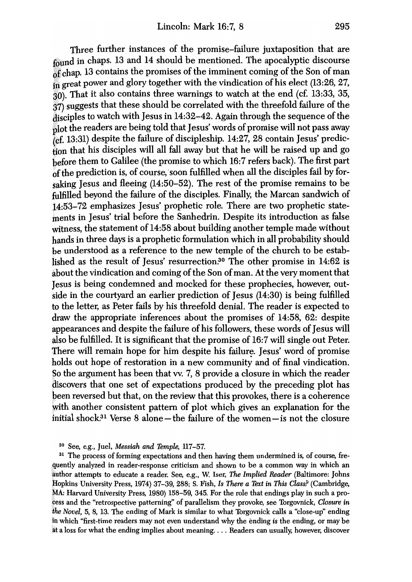Three further instances of the promise-failure juxtaposition that are found in chaps. 13 and 14 should be mentioned. The apocalyptic discourse of chap. 13 contains the promises of the imminent coming of the Son of man  $\frac{1}{10}$  great power and glory together with the vindication of his elect (13:26, 27,  $30$ . That it also contains three warnings to watch at the end (cf. 13:33, 35,  $37$  suggests that these should be correlated with the threefold failure of the disciples to watch with Jesus in 14:32-42. Again through the sequence of the plot the readers are being told that Jesus' words of promise will not pass away  $\tilde{c}$  (e. 13:31) despite the failure of discipleship. 14:27, 28 contain Jesus' prediction that his disciples will all fall away but that he will be raised up and go before them to Galilee (the promise to which 16:7 refers back). The first part of the prediction is, of course, soon fulfilled when all the disciples fail by forsaking Jesus and fleeing (14:50–52). The rest of the promise remains to be fulfilled beyond the failure of the disciples. Finally, the Marcan sandwich of 14:53-72 emphasizes Jesus' prophetic role. There are two prophetic statements in Jesus' trial before the Sanhedrin. Despite its introduction as false witness, the statement of 14:58 about building another temple made without hands in three days is a prophetic formulation which in all probability should be understood as a reference to the new temple of the church to be established as the result of Jesus' resurrection.<sup>30</sup> The other promise in 14:62 is about the vindication and coming of the Son of man. At the very moment that Jesus is being condemned and mocked for these prophecies, however, outside in the courtyard an earlier prediction of Jesus (14:30) is being fulfilled to the letter, as Peter fails by his threefold denial. The reader is expected to draw the appropriate inferences about the promises of 14:58, 62: despite appearances and despite the failure of his followers, these words of Jesus will also be fulfilled. It is significant that the promise of 16:7 will single out Peter. There will remain hope for him despite his failure. Jesus' word of promise holds out hope of restoration in a new community and of final vindication. So the argument has been that vv. 7, 8 provide a closure in which the reader discovers that one set of expectations produced by the preceding plot has been reversed but that, on the review that this provokes, there is a coherence with another consistent pattern of plot which gives an explanation for the initial shock.<sup>31</sup> Verse  $8$  alone - the failure of the women-is not the closure

30 See, e.g., Juel, *Messiah and Temple, 117-57.* 

<sup>31</sup> The process of forming expectations and then having them undermined is, of course, frequently analyzed in reader-response criticism and shown to be a common way in which an author attempts to educate a reader. See, e.g., W. Iser, *The Implied Reader* (Baltimore: Johns Hopkins University Press, 1974) 37-39, 288; S. Fish, *Is There a Text in This Class?* (Cambridge, MA: Harvard University Press, 1980) 158-59, 345. For the role that endings play in such a process and the "retrospective patterning" of parallelism they provoke, see Torgovnick, *Closure in the Novel,* 5, 8, 13. The ending of Mark is similar to what Torgovnick calls a "close-up" ending in which "first-time readers may not even understand why the ending *is* the ending, or may be at a loss for what the ending implies about meaning .... Readers can usually, however, discover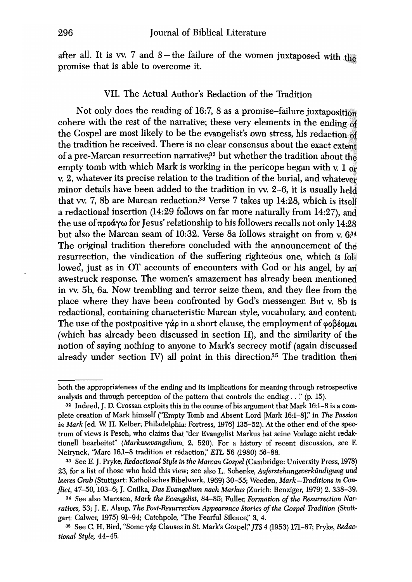after all. It is vv. 7 and  $8$ -the failure of the women juxtaposed with the promise that is able to overcome it.

#### VII. The Actual Author's Redaction of the Tradition

Not only does the reading of 16:7, 8 as a promise-failure juxtaposition cohere with the rest of the narrative; these very elements in the ending of the Gospel are most likely to be the evangelist's own stress, his redaction of the tradition he received. There is no clear consensus about the exact extent of a pre-Marcan resurrection narrative,32 but whether the tradition about the empty tomb with which Mark is working in the pericope began with v. 1 or v. 2, whatever its precise relation to the tradition of the burial, and whatever minor details have been added to the tradition in vv. 2–6, it is usually held that vv. 7, 8b are Marcan redaction.33 Verse 7 takes up 14:28, which is itself a redactional insertion (14:29 follows on far more naturally from 14:27), and the use of  $\pi$ pock  $\omega$  for Jesus' relationship to his followers recalls not only 14:28 but also the Marcan seam of 10:32. Verse 8a follows straight on from v.  $6^{34}$ The original tradition therefore concluded with the announcement of the resurrection, the vindication of the suffering righteous one, which is followed, just as in OT accounts of encounters with God or his angel, by an awestruck response. The women's amazement has already been mentioned in vv. 5b, 6a. Now trembling and terror seize them, and they flee from the place where they have been confronted by God's messenger. But v. 8b is redactional, containing characteristic Marcan style, vocabulary, and content. The use of the postpositive  $\gamma \dot{\alpha} \rho$  in a short clause, the employment of  $\varphi \circ \beta \dot{\epsilon}$  operations (which has already been discussed in section II), and the similarity of the notion of saying nothing to anyone to Mark's secrecy motif (again discussed already under section IV) all point in this direction.<sup>35</sup> The tradition then

both the appropriateness of the ending and its implications for meaning through retrospective analysis and through perception of the pattern that controls the ending  $\ldots$ " (p. 15).

<sup>32</sup> Indeed, J. D. Crossan exploits this in the course of his argument that Mark 16:1-8 is a complete creation of Mark himself ("Empty Tomb and Absent Lord [Mark 16:1-8];' in *The Passion*  in Mark [ed. W. H. Kelber; Philadelphia: Fortress, 1976] 135-52). At the other end of the spectrum of views is Pesch, who claims that "der Evangelist Markus hat seine Vorlage nicht redaktionell bearbeitet" *(Markusevangelium,* 2. 520). For a history of recent discussion, see F. Neirynck, "Marc 16,1-8 tradition et rédaction," *ETL* 56 (1980) 56-88.

<sup>33</sup> See E. J. Pryke, *Redactional Style in the Marcan Gospel* (Cambridge: University Press, 1978) 23, for a list of those who hold this view; see also L. Schenke, *Auferstehungsverkundigung und leeres Grab* (Stuttgart: Katholisches Bibelwerk, 1969) 30-55; Weeden, *Mark-Traditions in Conflict,* 47-50, 103-6; J. Gnilka, *Das Evangelium nach Markus* (Zurich: Benziger, 1979) 2. 338-39.

<sup>34</sup> See also Marxsen, *Mark the Evangelist,* 84-85; Fuller, *Formation of the Resurrection Narratives,* 53; J. E. Alsup, *The Post-Resurrection Appearance Stories of the Gospel Tradition (Stutt*gart: Caiwer, 1975) 91-94; Catchpole, 'The Fearful Silence;' 3, 4.

<sup>35</sup> See C. H. Bird, "Some y&p Clauses in St. Mark's Gospel;' *JTS* 4 (1953) 171-87; Pryke, *Redactional Style, 44-45.*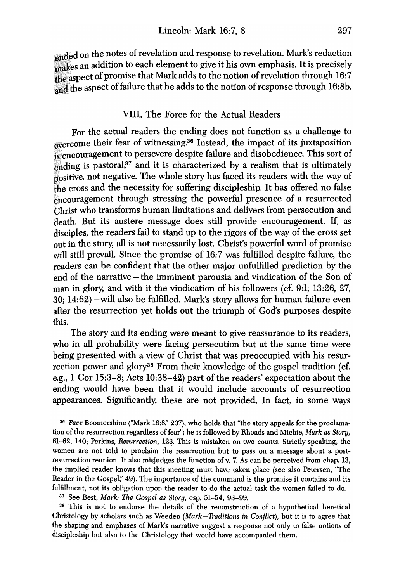ended on the notes of revelation and response to revelation. Mark's redaction makes an addition to each element to give it his own emphasis. It is precisely the aspect of promise that Mark adds to the notion of revelation through 16:7 and the aspect of failure that he adds to the notion of response through 16:8b.

#### VIII. The Force for the Actual Readers

For the actual readers the ending does not function as a challenge to  $\overline{\text{over}}$  covercome their fear of witnessing.<sup>36</sup> Instead, the impact of its juxtaposition is encouragement to persevere despite failure and disobedience. This sort of ending is pastoral, $37$  and it is characterized by a realism that is ultimately positive, not negative. The whole story has faced its readers with the way of  $\hat{h}$  the cross and the necessity for suffering discipleship. It has offered no false encouragement through stressing the powerful presence of a resurrected Christ who transforms human limitations and delivers from persecution and death. But its austere message does still provide encouragement. If, as disciples, the readers fail to stand up to the rigors of the way of the cross set out in the story, all is not necessarily lost. Christ's powerful word of promise will still prevail. Since the promise of 16:7 was fulfilled despite failure, the readers can be confident that the other major unfulfilled prediction by the end of the narrative-the imminent parousia and vindication of the Son of man in glory, and with it the vindication of his followers (cf. 9:1; 13:26, 27, 30; 14:62)-will also be fulfilled. Mark's story allows for human failure even after the resurrection yet holds out the triumph of God's purposes despite this.

The story and its ending were meant to give reassurance to its readers, who in all probability were facing persecution but at the same time were being presented with a view of Christ that was preoccupied with his resurrection power and glory.<sup>38</sup> From their knowledge of the gospel tradition (cf. e.g., 1 Cor 15:3-8; Acts 10:38-42) part of the readers' expectation about the ending would have been that it would include accounts of resurrection appearances. Significantly, these are not provided. In fact, in some ways

<sup>36</sup> Pace Boomershine ("Mark 16:8," 237), who holds that "the story appeals for the proclamation of the resurrection regardless of fear"; he is followed by Rhoads and Michie, *Mark as Story*, 61-62, 140; Perkins, *Resurrection,* 123. This is mistaken on two counts. Strictly speaking, the women are not told to proclaim the resurrection but to pass on a message about a postresurrection reunion. It also misjudges the function of v. 7. As can be perceived from chap. 13, the implied reader knows that this meeting must have taken place (see also Petersen, "The Reader in the Gospel," 49). The importance of the command is the promise it contains and its fulfillment, not its obligation upon the reader to do the actual task the women failed to do.

<sup>37</sup> See Best, *Mark: The Gospel as Story*, esp. 51-54, 93-99.

<sup>38</sup> This is not to endorse the details of the reconstruction of a hypothetical heretical Christology by scholars such as Weeden *(Mark-Traditions in Conflict),* but it is to agree that the shaping and emphases of Mark's narrative suggest a response not only to false notions of discipleship but also to the Christology that would have accompanied them.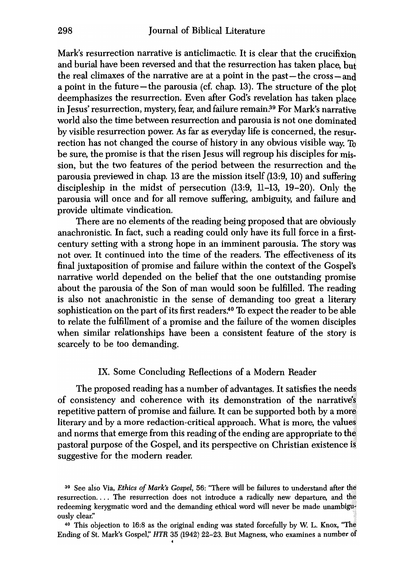Mark's resurrection narrative is anticlimactic. It is clear that the crucifixion and burial have been reversed and that the resurrection has taken place, but the real climaxes of the narrative are at a point in the past-the cross-and a point in the future-the parousia (cf. chap. 13). The structure of the plot deemphasizes the resurrection. Even after God's revelation has taken place in Jesus' resurrection, mystery, fear, and failure remain.39 For Mark's narrative world also the time between resurrection and parousia is not one dominated by visible resurrection power. As far as everyday life is concerned, the resur. rection has not changed the course of history in any obvious visible way. To be sure, the promise is that the risen Jesus will regroup his disciples for mis· sion, but the two features of the period between the resurrection and the parousia previewed in chap. 13 are the mission itself (13:9, 10) and suffering discipleship in the midst of persecution (13:9, 11-13, 19-20). Only the parousia will once and for all remove suffering, ambiguity, and failure and provide ultimate vindication.

There are no elements of the reading being proposed that are obviously anachronistic. In fact, such a reading could only have its full force in a first· century setting with a strong hope in an imminent parousia. The story was not over. It continued into the time of the readers. The effectiveness of its final juxtaposition of promise and failure within the context of the Gospel's narrative world depended on the belief that the one outstanding promise about the parousia of the Son of man would soon be fulfilled. The reading is also not anachronistic in the sense of demanding too great a literary sophistication on the part of its first readers.40 To expect the reader to be able to relate the fulfillment of a promise and the failure of the women disciples when similar relationships have been a consistent feature of the story is scarcely to be too demanding.

## IX. Some Concluding Reflections of a Modern Reader

The proposed reading has a number of advantages. It satisfies the needs of consistency and coherence with its demonstration of the narrative's repetitive pattern of promise and failure. It can be supported both by a more literary and by a more redaction-critical approach. What is more, the values and norms that emerge from this reading of the ending are appropriate to the pastoral purpose of the Gospel, and its perspective on Christian existence is suggestive for the modern reader.

40 This objection to 16:8 as the original ending was stated forcefully by W. L. Knox, "The Ending of St. Mark's Gospel;' HTR 35 (1942) 22-23. But Magness, who examines a number of •

<sup>39</sup> See also Via, *Ethics of Mark's Gospel,* 56: "There will be failures to understand after the resurrection.... The resurrection does not introduce a radically new departure, and the redeeming kerygmatic word and the demanding ethical word will never be made unambiguously clear:'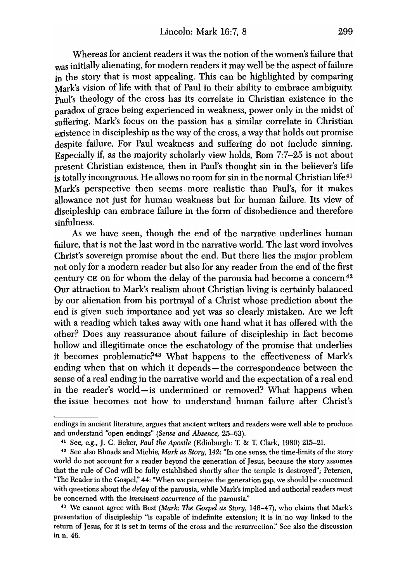Whereas for ancient readers it was the notion of the women's failure that was initially alienating, for modern readers it may well be the aspect of failure in the story that is most appealing. This can be highlighted by comparing Mark's vision of life with that of Paul in their ability to embrace ambiguity. Paul's theology of the cross has its correlate in Christian existence in the paradox of grace being experienced in weakness, power only in the midst of suffering. Mark's focus on the passion has a similar correlate in Christian existence in discipleship as the way of the cross, a way that holds out promise despite failure. For Paul weakness and suffering do not include sinning. Especially if, as the majority scholarly view holds, Rom 7:7-25 is not about present Christian existence, then in Paul's thought sin in the believer's life is totally incongruous. He allows no room for sin in the normal Christian life.<sup>41</sup> Mark's perspective then seems. more realistic than Paul's, for it makes allowance not just for human weakness but for human failure. Its view of discipleship can embrace failure in the form of disobedience and therefore sinfulness.

As we have seen, though the end of the narrative underlines human failure, that is not the last word in the narrative world. The last word involves Christ's sovereign promise about the end. But there lies the major problem not only for a modern reader but also for any reader from the end of the first century CE on for whom the delay of the parousia had become a concern.42 Our attraction to Mark's realism about Christian living is certainly balanced by our alienation from his portrayal of a Christ whose prediction about the end is given such importance and yet was so clearly mistaken. Are we left with a reading which takes away with one hand what it has offered with the other? Does any reassurance about failure of discipleship in fact become hollow and illegitimate once the eschatology of the promise that underlies it becomes problematic?43 What happens to the effectiveness of Mark's ending when that on which it depends – the correspondence between the sense of a real ending in the narrative world and the expectation of a real end in the reader's world-is undermined or removed? What happens when the issue becomes not how to understand human failure after Christ's

endings in ancient literature, argues that ancient writers and readers were well able to produce and understand "open endings" *(Sense and Absence, 25-63).* 

<sup>41</sup> See, e.g., J. C. Beker, *Paul the Apostle* (Edinburgh: T. & T. Clark, 1980) 215-21.

<sup>42</sup> See also Rhoads and Michie, *Mark as Story,* 142: "In one sense, the time-limits of the story world do not account for a reader beyond the generation of Jesus, because the story assumes that the rule of God will be fully established shortly after the temple is destroyed"; Petersen, "The Reader in the Gospel;' 44: "When we perceive the generation gap, we should be concerned with questions about the *delay* of the parousia, while Mark's implied and authorial readers must be concerned with the *imminent occurrence* of the parousia."

<sup>43</sup> We cannot agree with Best *(Mark: The Gospel as Story,* 146-47), who claims that Mark's presentation of discipleship "is capable of indefinite extension; it is in 'no way linked to the return of Jesus, for it is set in terms of the cross and the resurrection." See also the discussion in n. 46.